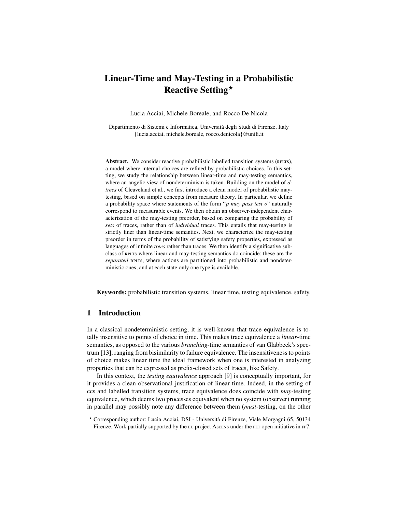# Linear-Time and May-Testing in a Probabilistic Reactive Setting  $\star$

Lucia Acciai, Michele Boreale, and Rocco De Nicola

Dipartimento di Sistemi e Informatica, Università degli Studi di Firenze, Italy {lucia.acciai, michele.boreale, rocco.denicola}@unifi.it

Abstract. We consider reactive probabilistic labelled transition systems (RPLTS), a model where internal choices are refined by probabilistic choices. In this setting, we study the relationship between linear-time and may-testing semantics, where an angelic view of nondeterminism is taken. Building on the model of *dtrees* of Cleaveland et al., we first introduce a clean model of probabilistic maytesting, based on simple concepts from measure theory. In particular, we define a probability space where statements of the form "*p may pass test o*" naturally correspond to measurable events. We then obtain an observer-independent characterization of the may-testing preorder, based on comparing the probability of *sets* of traces, rather than of *individual* traces. This entails that may-testing is strictly finer than linear-time semantics. Next, we characterize the may-testing preorder in terms of the probability of satisfying safety properties, expressed as languages of infinite *trees* rather than traces. We then identify a significative subclass of reurs where linear and may-testing semantics do coincide: these are the *separated* RPLTS, where actions are partitioned into probabilistic and nondeterministic ones, and at each state only one type is available.

Keywords: probabilistic transition systems, linear time, testing equivalence, safety.

# 1 Introduction

In a classical nondeterministic setting, it is well-known that trace equivalence is totally insensitive to points of choice in time. This makes trace equivalence a *linear*-time semantics, as opposed to the various *branching*-time semantics of van Glabbeek's spectrum [13], ranging from bisimilarity to failure equivalence. The insensitiveness to points of choice makes linear time the ideal framework when one is interested in analyzing properties that can be expressed as prefix-closed sets of traces, like Safety.

In this context, the *testing equivalence* approach [9] is conceptually important, for it provides a clean observational justification of linear time. Indeed, in the setting of ccs and labelled transition systems, trace equivalence does coincide with *may*-testing equivalence, which deems two processes equivalent when no system (observer) running in parallel may possibly note any difference between them (*must*-testing, on the other

<sup>?</sup> Corresponding author: Lucia Acciai, DSI - Università di Firenze, Viale Morgagni 65, 50134 Firenze. Work partially supported by the EU project Ascens under the FET open initiative in FP7.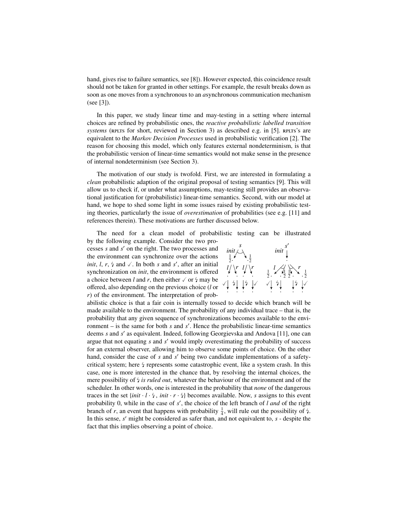hand, gives rise to failure semantics, see [8]). However expected, this coincidence result should not be taken for granted in other settings. For example, the result breaks down as soon as one moves from a synchronous to an *a*synchronous communication mechanism (see [3]).

In this paper, we study linear time and may-testing in a setting where internal choices are refined by probabilistic ones, the *reactive probabilistic labelled transition systems* (RPLTS for short, reviewed in Section 3) as described e.g. in [5]. RPLTS's are equivalent to the *Markov Decision Processes* used in probabilistic verification [2]. The reason for choosing this model, which only features external nondeterminism, is that the probabilistic version of linear-time semantics would not make sense in the presence of internal nondeterminism (see Section 3).

The motivation of our study is twofold. First, we are interested in formulating a *clean* probabilistic adaption of the original proposal of testing semantics [9]. This will allow us to check if, or under what assumptions, may-testing still provides an observational justification for (probabilistic) linear-time semantics. Second, with our model at hand, we hope to shed some light in some issues raised by existing probabilistic testing theories, particularly the issue of *overestimation* of probabilities (see e.g. [11] and references therein). These motivations are further discussed below.

The need for a clean model of probabilistic testing can be illustrated

by the following example. Consider the two processes *s* and *s'* on the right. The two processes and the environment can synchronize over the actions *init*, *l*, *r*,  $\frac{1}{2}$  and  $\sqrt{2}$ . In both *s* and *s*<sup>'</sup>, after an initial synchronization on *init*, the environment is offered a choice between *l* and *r*, then either  $\checkmark$  or  $\frac{1}{7}$  may be offered, also depending on the previous choice (*l* or *r*) of the environment. The interpretation of prob-

$$
\begin{array}{ccc}\n\lim_{\frac{1}{2}, \ell} & \lim_{\frac{1}{2}} & \lim_{\ell} \frac{s'}{\ell} \\
\downarrow & \downarrow & \downarrow \\
\downarrow & \downarrow & \downarrow & \downarrow \\
\downarrow & \downarrow & \downarrow & \downarrow \\
\downarrow & \downarrow & \downarrow & \downarrow\n\end{array}
$$

abilistic choice is that a fair coin is internally tossed to decide which branch will be made available to the environment. The probability of any individual trace – that is, the probability that any given sequence of synchronizations becomes available to the environment  $-$  is the same for both  $s$  and  $s'$ . Hence the probabilistic linear-time semantics deems *s* and *s'* as equivalent. Indeed, following Georgievska and Andova [11], one can argue that not equating *s* and *s'* would imply overestimating the probability of success for an external observer, allowing him to observe some points of choice. On the other hand, consider the case of *s* and *s'* being two candidate implementations of a safetycritical system; here  $\frac{1}{4}$  represents some catastrophic event, like a system crash. In this case, one is more interested in the chance that, by resolving the internal choices, the mere possibility of  $\frac{1}{4}$  is ruled out, whatever the behaviour of the environment and of the scheduler. In other words, one is interested in the probability that *none* of the dangerous traces in the set  $\{init \cdot l \cdot 2, init \cdot r \cdot 2\}$  becomes available. Now, *s* assigns to this event probability 0, while in the case of *s'*, the choice of the left branch of *l and* of the right branch of *r*, an event that happens with probability  $\frac{1}{4}$ , will rule out the possibility of  $\frac{1}{4}$ . In this sense, *s'* might be considered as safer than, and not equivalent to, *s* - despite the fact that this implies observing a point of choice.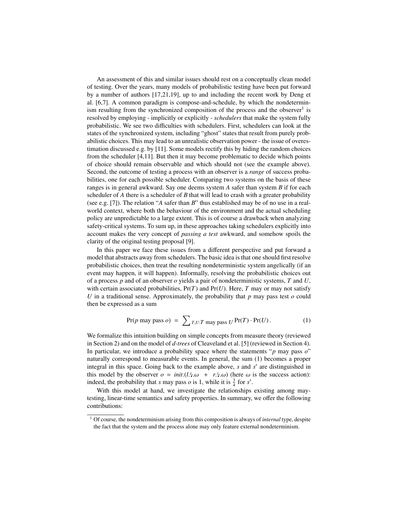An assessment of this and similar issues should rest on a conceptually clean model of testing. Over the years, many models of probabilistic testing have been put forward by a number of authors [17,21,19], up to and including the recent work by Deng et al. [6,7]. A common paradigm is compose-and-schedule, by which the nondeterminism resulting from the synchronized composition of the process and the observer<sup>1</sup> is resolved by employing - implicitly or explicitly - *schedulers* that make the system fully probabilistic. We see two difficulties with schedulers. First, schedulers can look at the states of the synchronized system, including "ghost" states that result from purely probabilistic choices. This may lead to an unrealistic observation power - the issue of overestimation discussed e.g. by [11]. Some models rectify this by hiding the random choices from the scheduler [4,11]. But then it may become problematic to decide which points of choice should remain observable and which should not (see the example above). Second, the outcome of testing a process with an observer is a *range* of success probabilities, one for each possible scheduler. Comparing two systems on the basis of these ranges is in general awkward. Say one deems system *A* safer than system *B* if for each scheduler of *A* there is a scheduler of *B* that will lead to crash with a greater probability (see e.g. [7]). The relation "*A* safer than *B*" thus established may be of no use in a realworld context, where both the behaviour of the environment and the actual scheduling policy are unpredictable to a large extent. This is of course a drawback when analyzing safety-critical systems. To sum up, in these approaches taking schedulers explicitly into account makes the very concept of *passing a test* awkward, and somehow spoils the clarity of the original testing proposal [9].

In this paper we face these issues from a different perspective and put forward a model that abstracts away from schedulers. The basic idea is that one should first resolve probabilistic choices, then treat the resulting nondeterministic system angelically (if an event may happen, it will happen). Informally, resolving the probabilistic choices out of a process *p* and of an observer *o* yields a pair of nondeterministic systems, *T* and *U*, with certain associated probabilities,  $Pr(T)$  and  $Pr(U)$ . Here, *T* may or may not satisfy *U* in a traditional sense. Approximately, the probability that *p* may pass test *o* could then be expressed as a sum

$$
Pr(p \text{ may pass } o) = \sum_{T, U: T \text{ may pass } U} Pr(T) \cdot Pr(U).
$$
 (1)

We formalize this intuition building on simple concepts from measure theory (reviewed in Section 2) and on the model of *d-trees* of Cleaveland et al. [5] (reviewed in Section 4). In particular, we introduce a probability space where the statements "*p* may pass *o*" naturally correspond to measurable events. In general, the sum (1) becomes a proper integral in this space. Going back to the example above, *s* and *s'* are distinguished in this model by the observer  $o = init(1.5 \omega + r.5 \omega)$  (here  $\omega$  is the success action): indeed, the probability that *s* may pass *o* is 1, while it is  $\frac{3}{4}$  for *s'*.

With this model at hand, we investigate the relationships existing among maytesting, linear-time semantics and safety properties. In summary, we offer the following contributions:

<sup>1</sup> Of course, the nondeterminism arising from this composition is always of *internal* type, despite the fact that the system and the process alone may only feature external nondeterminism.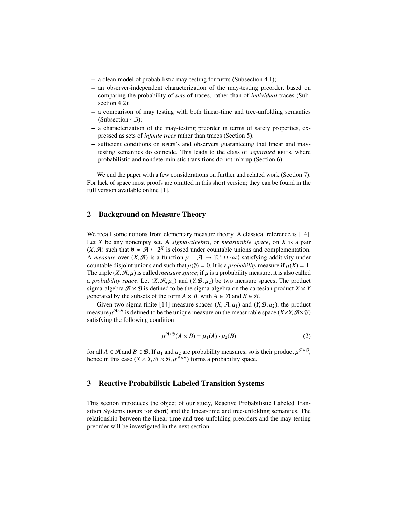- $-$  a clean model of probabilistic may-testing for repurs (Subsection 4.1);
- an observer-independent characterization of the may-testing preorder, based on comparing the probability of *sets* of traces, rather than of *individual* traces (Subsection 4.2);
- a comparison of may testing with both linear-time and tree-unfolding semantics (Subsection 4.3);
- a characterization of the may-testing preorder in terms of safety properties, expressed as sets of *infinite trees* rather than traces (Section 5).
- sufficient conditions on rplts's and observers guaranteeing that linear and maytesting semantics do coincide. This leads to the class of *separated* RPLTS, where probabilistic and nondeterministic transitions do not mix up (Section 6).

We end the paper with a few considerations on further and related work (Section 7). For lack of space most proofs are omitted in this short version; they can be found in the full version available online [1].

# 2 Background on Measure Theory

We recall some notions from elementary measure theory. A classical reference is [14]. Let *X* be any nonempty set. A *sigma-algebra*, or *measurable space*, on *X* is a pair  $(X, \mathcal{A})$  such that  $\emptyset \neq \mathcal{A} \subseteq 2^X$  is closed under countable unions and complementation. A *measure* over  $(X, \mathcal{A})$  is a function  $\mu : \mathcal{A} \to \mathbb{R}^+ \cup \{ \infty \}$  satisfying additivity under<br>countable disjoint unions and such that  $\mu(\emptyset) = 0$ . It is a *probability measure* if  $\mu(X) = 1$ . countable disjoint unions and such that  $\mu(\emptyset) = 0$ . It is a *probability* measure if  $\mu(X) = 1$ . The triple  $(X, \mathcal{A}, \mu)$  is called *measure space*; if  $\mu$  is a probability measure, it is also called a *probability space*. Let  $(X, \mathcal{A}, \mu_1)$  and  $(Y, \mathcal{B}, \mu_2)$  be two measure spaces. The product sigma-algebra  $\mathcal{A} \times \mathcal{B}$  is defined to be the sigma-algebra on the cartesian product  $X \times Y$ generated by the subsets of the form  $A \times B$ , with  $A \in \mathcal{A}$  and  $B \in \mathcal{B}$ .

Given two sigma-finite [14] measure spaces  $(X, \mathcal{A}, \mu_1)$  and  $(Y, \mathcal{B}, \mu_2)$ , the product measure  $\mu^{A\times B}$  is defined to be the unique measure on the measurable space  $(X\times Y, A\times B)$ <br>satisfying the following condition satisfying the following condition

$$
\mu^{\mathcal{A} \times \mathcal{B}}(A \times B) = \mu_1(A) \cdot \mu_2(B) \tag{2}
$$

for all  $A \in \mathcal{A}$  and  $B \in \mathcal{B}$ . If  $\mu_1$  and  $\mu_2$  are probability measures, so is their product  $\mu^{\mathcal{A} \times \mathcal{B}}$ , hence in this case  $(X \times Y, \mathcal{A} \times \mathcal{B}, \mu^{\mathcal{A} \times \mathcal{B}})$  forms a probability space hence in this case  $(X \times Y, \mathcal{A} \times \mathcal{B}, \mu^{\mathcal{A} \times \mathcal{B}})$  forms a probability space.

# 3 Reactive Probabilistic Labeled Transition Systems

This section introduces the object of our study, Reactive Probabilistic Labeled Transition Systems (RPLTs for short) and the linear-time and tree-unfolding semantics. The relationship between the linear-time and tree-unfolding preorders and the may-testing preorder will be investigated in the next section.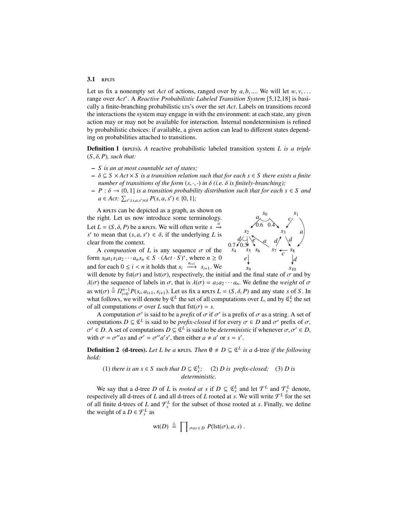#### 3.1 RPLTS

Let us fix a nonempty set *Act* of actions, ranged over by  $a, b, \dots$ . We will let  $w, v, \dots$ range over *Act*<sup>∗</sup> . A *Reactive Probabilistic Labeled Transition System* [5,12,18] is basically a finite-branching probabilistic LTS's over the set *Act*. Labels on transitions record the interactions the system may engage in with the environment: at each state, any given action may or may not be available for interaction. Internal nondeterminism is refined by probabilistic choices: if available, a given action can lead to different states depending on probabilities attached to transitions.

**Definition 1** (RPLTS). A reactive probabilistic labeled transition system *L* is a triple  $(S, \delta, P)$ *, such that:* 

- *S is an at most countable set of states;*
- δ <sup>⊆</sup> *<sup>S</sup>* <sup>×</sup> *Act* <sup>×</sup> *S is a transition relation such that for each s* <sup>∈</sup> *S there exists a finite number of transitions of the form*  $(s, \cdot, \cdot)$  *in*  $\delta$  *(i.e.*  $\delta$  *is finitely-branching);*
- $-P : \delta \to (0,1]$  *is a transition probability distribution such that for each s*  $\in$  *S and*  $a \in Act: \sum_{s':(s,a,s') \in \delta} P(s,a,s') \in \{0,1\};$

A RPLTS can be depicted as a graph, as shown on the right. Let us now introduce some terminology. Let  $L = (S, \delta, P)$  be a reposent S. We will often write  $s \stackrel{a}{\rightarrow} s'$  to mean that  $(s, a, s') \in \delta$  if the underlying  $L$  is s' to mean that  $(s, a, s') \in \delta$ , if the underlying *L* is<br>clear from the context clear from the context.

A *computation* of *L* is any sequence  $\sigma$  of the form  $s_0 a_1 s_1 a_2 \cdots a_n s_n \in S \cdot (Act \cdot S)^*$ , where  $n \ge 0$ and for each  $0 \le i < n$  it holds that  $s_i \xrightarrow{a_{i+1}} s_{i+1}$ . We will denote by  $fst(\sigma)$  and  $lst(\sigma)$  respectively the initial



will denote by fst( $\sigma$ ) and lst( $\sigma$ ), respectively, the initial and the final state of  $\sigma$  and by  $\lambda(\sigma)$  the sequence of labels in  $\sigma$ , that is  $\lambda(\sigma) = a_1 a_2 \cdots a_n$ . We define the *weight* of  $\sigma$ as  $wt(\sigma) \stackrel{\Delta}{=} \prod_{i=0}^{n-1} P(s_i, a_{i+1}, s_{i+1})$ . Let us fix a repurs  $L = (S, \delta, P)$  and any state *s* of *S*. In what follows we will denote by  $\delta^L$  the set of all computations over *L* and by  $\delta^L$  the set what follows, we will denote by  $\mathfrak{C}^L$  the set of all computations over *L*, and by  $\mathfrak{C}_s^L$  the set of all computations  $\sigma$  over *L* such that fst( $\sigma$ ) = *s*.

A computation  $\sigma'$  is said to be a *prefix* of  $\sigma$  if  $\sigma'$  is a prefix of  $\sigma$  as a string. A set of points of  $\sigma$ ,  $\sigma \in \mathbb{C}^L$  is said to be *prefix-closed* if for every  $\sigma \in D$  and  $\sigma'$  prefix of  $\sigma$ . computations  $D \subseteq \mathbb{C}^L$  is said to be *prefix-closed* if for every  $\sigma \in D$  and  $\sigma'$  prefix of  $\sigma$ ,  $\sigma' \in D$  A set of computations  $D \subset \mathbb{C}^L$  is said to be *deterministic* if whenever  $\sigma$ ,  $\sigma' \in D$ with  $\sigma = \sigma''$  *as* and  $\sigma' = \sigma''$  *a' s'*, then either  $a \neq a'$  or  $s = s'$ .  $0 \subseteq \mathbb{C}^L$  is said to be *deterministic* if whenever  $\sigma, \sigma' \in D$ ,<br>ith  $\sigma = \sigma''$  as and  $\sigma' = \sigma''$  a' s' then either  $a \neq a'$  or  $s = s'$ 

**Definition 2** (**d-trees**). Let L be a reurs. Then  $\emptyset \neq D \subseteq \mathbb{C}^L$  is a d-tree if the following *hold:*

## (1) *there is an s* ∈ *S such that*  $D ⊆ \mathfrak{C}_s^L$ ; (2) *D is prefix-closed*; (3) *D is deterministic.*

We say that a d-tree *D* of *L* is *rooted at s* if  $D \subseteq \mathfrak{C}_s^L$  and let  $\mathcal{T}^L$  and  $\mathcal{T}_s^L$  denote, respectively all d-trees of *L* and all d-trees of *L* rooted at *s*. We will write  $\mathcal{F}^L$  for the set of all finite d-trees of L and  $\mathcal{F}_s^L$  for the subset of those rooted at *s*. Finally, we define the weight of a  $D \in \mathcal{F}_s^L$  as

$$
\mathrm{wt}(D) \triangleq \prod_{\sigma as \in D} P(\mathrm{lst}(\sigma), a, s) .
$$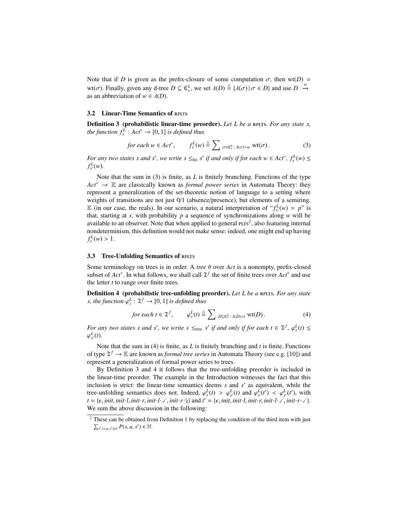Note that if *D* is given as the prefix-closure of some computation  $\sigma$ , then wt(*D*) = wt(*σ*). Finally, given any d-tree *D* ⊆  $\mathfrak{C}_s^L$ , we set  $\lambda(D) \stackrel{\triangle}{=} {\lambda(\sigma) | \sigma \in D}$  and use *D*  $\stackrel{w}{\rightarrow}$  as an abbreviation of *w* ∈  $\lambda(D)$ as an abbreviation of  $w \in \lambda(D)$ .

#### 3.2 Linear-Time Semantics of RPLTS

**Definition 3** (probabilistic linear-time preorder). Let L be a RPLTS. For any state s, *the function*  $f_s^L: Act^* \to [0, 1]$  *is defined thus* 

for each 
$$
w \in Act^*
$$
,  $f_s^L(w) \stackrel{\Delta}{=} \sum_{\sigma \in \mathfrak{C}_s^L : \lambda(\sigma) = w} \text{wt}(\sigma)$ . (3)

*For any two states s and s', we write*  $s \leq_{\text{lin}} s'$  *if and only if for each*  $w \in Act^*$ *,*  $f_s^L(w) \leq$  $f_{s'}^L(w)$ .

Note that the sum in (3) is finite, as *L* is finitely branching. Functions of the type *Act*<sup>∗</sup> → K are classically known as *formal power series* in Automata Theory: they represent a generalization of the set-theoretic notion of language to a setting where weights of transitions are not just 0/1 (absence/presence), but elements of a semiring, K (in our case, the reals). In our scenario, a natural interpretation of " $f_s^L(w) = p$ " is that, starting at  $s$ , with probability  $p$  a sequence of synchronizations along  $w$  will be available to an observer. Note that when applied to general  $P_{\text{LTS}}^2$ , also featuring internal nondeterminism, this definition would not make sense: indeed, one might end up having  $f_s^L(w) > 1.$ 

#### 3.3 Tree-Unfolding Semantics of RPLTS

Some terminology on trees is in order. A *tree* θ over *Act* is a nonempty, prefix-closed subset of  $Act^*$ . In what follows, we shall call  $\mathfrak{T}^f$  the set of finite trees over  $Act^*$  and use the letter *t* to range over finite trees.

**Definition 4** (probabilistic tree-unfolding preorder). Let L be a RPLTS. For any state *s, the function*  $\varphi_s^L : \mathfrak{T}^f \to [0,1]$  *is defined thus* 

for each 
$$
t \in \mathfrak{X}^f
$$
,  $\varphi_s^L(t) \stackrel{\Delta}{=} \sum_{D \subseteq \mathfrak{S}_s^L : \lambda(D) = t} \text{wt}(D)$ . (4)

*For any two states s and s', we write*  $s \leq_{\text{tree}} s'$  *if and only if for each*  $t \in \mathfrak{X}^f$ *,*  $\varphi_s^L(t) \leq$  $\overline{a}$  $L_{s'}(t)$ .

Note that the sum in (4) is finite, as *L* is finitely branching and *t* is finite. Functions of type  $\mathfrak{T}^f \to \mathbb{K}$  are known as *formal tree series* in Automata Theory (see e.g. [10]) and represent a generalization of formal power series to trees.

By Definition 3 and 4 it follows that the tree-unfolding preorder is included in the linear-time preorder. The example in the Introduction witnesses the fact that this inclusion is strict: the linear-time semantics deems  $s$  and  $s'$  as equivalent, while the tree-unfolding semantics does not. Indeed,  $\varphi_s^L(t) > \varphi_{s'}^L(t)$  and  $\varphi_s^L(t') < \varphi_{s'}^L(t')$ , with  $t - \ell \in \mathbb{R}$  initially initially (initially  $\ell$ ) and  $t' - \ell \in \mathbb{R}$  initial initial initial initial initial  $t = \{\epsilon, init, init \cdot l, init \cdot r, init \cdot l \cdot \sqrt{, init \cdot r \cdot \epsilon}\}$  and  $t' = \{\epsilon, init, init \cdot l, init \cdot r, init \cdot l \cdot \sqrt{, init \cdot r \cdot \sqrt{,}}\}$ .<br>We sum the above discussion in the following: We sum the above discussion in the following:

<sup>&</sup>lt;sup>2</sup> These can be obtained from Definition 1 by replacing the condition of the third item with just  $\sum_{s':(s,a,s')\in\delta} P(s,a,s') \in \mathbb{N}.$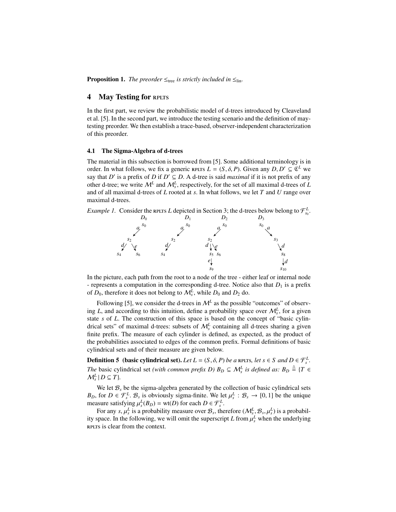**Proposition 1.** *The preorder*  $\leq_{\text{tree}}$  *is strictly included in*  $\leq_{\text{lin}}$ *.* 

#### 4 May Testing for RPLTS

In the first part, we review the probabilistic model of d-trees introduced by Cleaveland et al. [5]. In the second part, we introduce the testing scenario and the definition of maytesting preorder. We then establish a trace-based, observer-independent characterization of this preorder.

#### 4.1 The Sigma-Algebra of d-trees

The material in this subsection is borrowed from [5]. Some additional terminology is in order. In what follows, we fix a generic repurs  $L = (S, \delta, P)$ . Given any  $D, D' \subseteq \mathfrak{C}^L$  we say that  $D'$  is a prefix of  $D$  if  $D' \subseteq D$ . A d-tree is said *maximal* if it is not prefix of any say that *D'* is a prefix of *D* if  $D' \subseteq D$ . A d-tree is said *maximal* if it is not prefix of any other d-tree; we write  $\mathcal{M}^L$  and  $\mathcal{M}^L_s$ , respectively, for the set of all maximal d-trees of *L* and of all maximal d-trees of *L* rooted at *s*. In what follows, we let *T* and *U* range over maximal d-trees.

*Example 1.* Consider the RPLTS *L* depicted in Section 3; the d-trees below belong to  $\mathcal{F}_{s_0}^L$ .



In the picture, each path from the root to a node of the tree - either leaf or internal node - represents a computation in the corresponding d-tree. Notice also that  $D_1$  is a prefix of  $D_0$ , therefore it does not belong to  $\mathcal{M}_s^L$ , while  $D_0$  and  $D_2$  do.

Following [5], we consider the d-trees in  $\mathcal{M}^L$  as the possible "outcomes" of observing *L*, and according to this intuition, define a probability space over  $\mathcal{M}_s^L$ , for a given state *s* of *L*. The construction of this space is based on the concept of "basic cylindrical sets" of maximal d-trees: subsets of  $\mathcal{M}_s^L$  containing all d-trees sharing a given finite prefix. The measure of each cylinder is defined, as expected, as the product of the probabilities associated to edges of the common prefix. Formal definitions of basic cylindrical sets and of their measure are given below.

**Definition 5 (basic cylindrical set).** *Let L* = (*S*,  $\delta$ , *P*) *be a* relist, let  $s \in S$  and  $D \in \mathcal{F}_s^L$ . *The* basic cylindrical set *(with common prefix D)*  $B_D \subseteq M_s^L$  *is defined as:*  $B_D \triangleq \{T \in$  $\mathcal{M}_s^L$  |  $D \subseteq T$  }.

We let  $\mathcal{B}_s$  be the sigma-algebra generated by the collection of basic cylindrical sets *B*<sub>*D*</sub>, for  $D \in \mathcal{F}_s^L$ .  $\mathcal{B}_s$  is obviously sigma-finite. We let  $\mu_s^L : \mathcal{B}_s \to [0, 1]$  be the unique measure satisfying  $\mu^L(B_s) = \text{wt}(D)$  for each  $D \in \mathcal{F}_s^L$ . measure satisfying  $\mu_s^L(B_D) = \text{wt}(D)$  for each  $D \in \mathcal{F}_s^L$ .<br>For any s<sub>at</sub>  $\mu_s^L$  is a probability measure over  $\mathcal{B}_s$ , then

For any *s*,  $\mu_s^L$  is a probability measure over  $\mathcal{B}_s$ , therefore  $(\mathcal{M}_s^L, \mathcal{B}_s, \mu_s^L)$  is a probabil-<br>space. In the following, we will omit the superscript *I* from  $\mu_s^L$  when the underlying ity space. In the following, we will omit the superscript *L* from  $\mu_s^L$  when the underlying<br>parts is clear from the context rplts is clear from the context.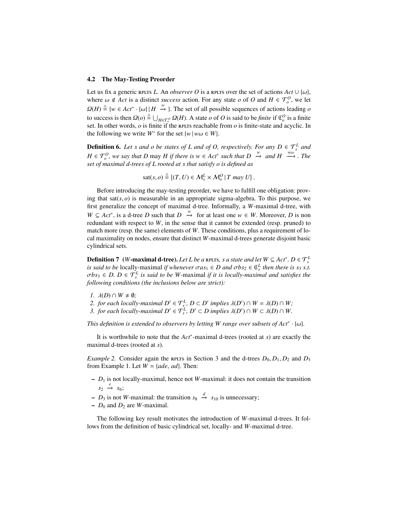#### 4.2 The May-Testing Preorder

Let us fix a generic repurs *L*. An *observer O* is a repurs over the set of actions  $Act \cup \{\omega\}$ , where  $\omega \notin Act$  is a distinct *success* action. For any state  $o$  of *O* and  $H \in \mathcal{T}_o^O$ , we let  $Q(H) \triangleq \{w \in Act^* \cdot \{\omega\} | H \stackrel{w}{\rightarrow} \}$ . The set of all possible sequences of actions leading *o* to success is then  $\Omega$ (*o*)  $\stackrel{\Delta}{=} \bigcup_{H \in \mathcal{T}_0^O} \Omega(H)$ . A state *o* of *O* is said to be *finite* if  $\mathfrak{C}_0^O$  is a finite<br>set In other words, *o* is finite if the ppurs reachable from *o* is finite-state and acycl set. In other words,  $o$  is finite if the replacements reachable from  $o$  is finite-state and acyclic. In the following we write  $W^{\circ}$  for the set  $\{w \mid w\omega \in W\}$ .

**Definition 6.** Let s and o be states of L and of O, respectively. For any  $D \in \mathcal{T}_s^L$  and  $H \in \mathcal{T}^{\mathcal{O}}_{\mathcal{O}}$ , we say that *D* may *H* if there is  $w \in Act^*$  such that  $D \stackrel{w}{\rightarrow}$  and  $H \stackrel{w\omega}{\longrightarrow}$ . The *set of maximal d-trees of L rooted at s that satisfy o is defined as*

 $\text{sat}(s, o) \triangleq \{ (T, U) \in \mathcal{M}_s^L \times \mathcal{M}_o^O \mid T \text{ may } U \}$ 

Before introducing the may-testing preorder, we have to fulfill one obligation: proving that  $sat(s, o)$  is measurable in an appropriate sigma-algebra. To this purpose, we first generalize the concept of maximal d-tree. Informally, a *W*-maximal d-tree, with  $W \subseteq Act^*$ , is a d-tree *D* such that  $D \stackrel{w}{\rightarrow}$  for at least one  $w \in W$ . Moreover, *D* is non redundant with respect to *W*, in the sense that it cannot be extended (resp. pruned) to match more (resp. the same) elements of *W*. These conditions, plus a requirement of local maximality on nodes, ensure that distinct *W*-maximal d-trees generate disjoint basic cylindrical sets.

**Definition 7** (*W*-maximal d-tree). Let L be a reurs, s a state and let  $W \subseteq Act^*$ .  $D \in \mathcal{T}_s^L$ *is said to be* locally-maximal *if whenever*  $\sigma a s_1 \in D$  *and*  $\sigma b s_2 \in \mathbb{C}^L_s$  *then there is s*<sub>3</sub> *s.t.*<br>  $\sigma b s_2 \in D$ ,  $D \in \mathcal{T}^L$  is said to be W-maximal if it is locally-maximal and satisfies the  $\sigma$ *bs*<sub>3</sub>  $\in$  *D. D*  $\in$   $\mathcal{T}_{s}^{L}$  *is said to be W*-maximal *if it is locally-maximal and satisfies the*<br>*following conditions (the inclusions below are strict) following conditions (the inclusions below are strict):*

- 
- *1.*  $\lambda(D) \cap W \neq \emptyset$ ;<br>2. for each locally-maximal  $D' \in \mathcal{T}_s^L$ ,  $D \subset D'$  implies  $\lambda(D') \cap W = \lambda(D) \cap W$ ;<br>3. for each locally-maximal  $D' \in \mathcal{T}_s^L$ ,  $D' \subset D$  implies  $\lambda(D') \cap W \subset \lambda(D) \cap W$ .
- 

*This definition is extended to observers by letting W range over subsets of Act*<sup>∗</sup> · {ω}*.*

It is worthwhile to note that the *Act*<sup>∗</sup> -maximal d-trees (rooted at *s*) are exactly the maximal d-trees (rooted at *s*).

*Example 2.* Consider again the replies in Section 3 and the d-trees  $D_0, D_1, D_2$  and  $D_3$ from Example 1. Let  $W = \{ade, ad\}$ . Then:

- $-D_1$  is not locally-maximal, hence not *W*-maximal: it does not contain the transition  $s_2 \stackrel{e}{\rightarrow} s_6$ ;
- −  $D_3$  is not *W*-maximal: the transition  $s_8 \stackrel{d}{\rightarrow} s_{10}$  is unnecessary;
- $-D_0$  and  $D_2$  are *W*-maximal.

The following key result motivates the introduction of *W*-maximal d-trees. It follows from the definition of basic cylindrical set, locally- and *W*-maximal d-tree.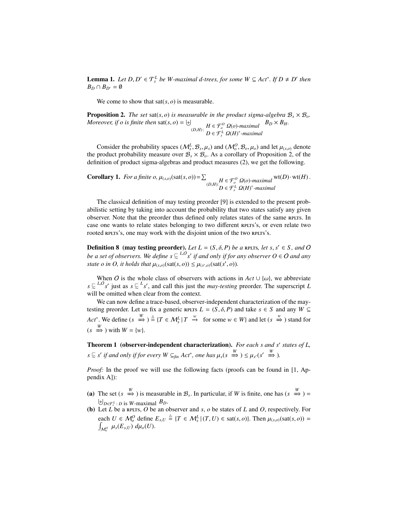**Lemma 1.** *Let*  $D, D' \in \mathcal{T}_s^L$  *be W-maximal d-trees, for some W*  $\subseteq$  *Act<sup>\*</sup>. If*  $D \neq D'$  *then*  $B_0 \cap B_0 = \emptyset$  $B_D \cap B_{D'} = \emptyset$ 

We come to show that  $sat(s, o)$  is measurable.

**Proposition 2.** *The set* sat(*s*, *o*) *is measurable in the product sigma-algebra*  $B_s \times B_o$ . *Moreover, if o is finite then*  $sat(s, o) = \biguplus$  $(D,H): H \in \mathcal{F}^O_o$   $\Omega(o)$ -maximal<br>  $D \in \mathcal{F}^L_s$   $\Omega(H)^\circ$ -maximal  $B_D \times B_H$ .

Consider the probability spaces  $(M_s^L, \mathcal{B}_s, \mu_s)$  and  $(M_o^O, \mathcal{B}_o, \mu_o)$  and let  $\mu_{(s,o)}$  denote the product probability measure over  $\mathcal{B}_s \times \mathcal{B}_o$ . As a corollary of Proposition 2, of the definition of product sigma-algebras and product measures (2), we get the following.

**Corollary 1.** *For a finite o,*  $\mu_{(s,o)}(\text{sat}(s, o)) = \sum$  $(D,H): H \in \mathcal{F}_o^O$   $\Omega(o)$ -maximal<br>  $D \in \mathcal{F}_s^L$   $\Omega(H)^\circ$ -maximal  $wt(D)\cdot wt(H)$ .

The classical definition of may testing preorder [9] is extended to the present probabilistic setting by taking into account the probability that two states satisfy any given observer. Note that the preorder thus defined only relates states of the same RPLTS. In case one wants to relate states belonging to two different RPLTS's, or even relate two rooted repurs's, one may work with the disjoint union of the two repurs's.

**Definition 8 (may testing preorder).** *Let*  $L = (S, \delta, P)$  *be a RPLTS*, *let*  $s, s' \in S$ , and *O* has a set of observance  $W_0$  define  $s \in L^Q s'$  if and only if for any observan  $Q \in Q$  and any *be a set of observers. We define*  $s \in L^0$ *s' if and only if for any observer*  $O \in O$  *and any state o in O, it holds that*  $\mu_{(s,o)}(\text{sat}(s, o)) \leq \mu_{(s',o)}(\text{sat}(s', o)).$ 

When O is the whole class of observers with actions in  $Act \cup \{\omega\}$ , we abbreviate  $s \in L^{\infty}$  *s*' just as  $s \in L^{\infty}$ , and call this just the *may-testing* preorder. The superscript *L* will be omitted when clear from the context.

We can now define a trace-based, observer-independent characterization of the maytesting preorder. Let us fix a generic RPLTS  $L = (S, \delta, P)$  and take  $s \in S$  and any  $W \subseteq$  $Act^*$ . We define  $(s \stackrel{W}{\Rightarrow}) \stackrel{\triangle}{=} \{T \in \mathcal{M}_{s}^L | T \stackrel{W}{\rightarrow} \text{ for some } w \in W\}$  and let  $(s \stackrel{w}{\Rightarrow})$  stand for  $(s \xrightarrow{W}$ ) with  $W = \{w\}.$ 

Theorem 1 (observer-independent characterization). For each s and s' states of L,  $s \subseteq s'$  *if and only if for every*  $W \subseteq_{fin} Act^*$ *, one has*  $\mu_s(s \stackrel{W}{\implies}) \leq \mu_{s'}(s' \stackrel{W}{\implies})$ *.* 

*Proof:* In the proof we will use the following facts (proofs can be found in [1, Appendix A]):

- (a) The set  $(s \stackrel{W}{\Rightarrow} )$  is measurable in  $\mathcal{B}_s$ . In particular, if *W* is finite, one has  $(s \stackrel{W}{\Rightarrow} ) =$  $\biguplus_{D \in \mathcal{F}_s^L \colon D}$  is *W*-maximal  $B_D$ .
- (b) Let *L* be a reprise, *O* be an observer and *s*, *o* be states of *L* and *O*, respectively. For each  $U \in \mathcal{M}_o^O$  define  $E_{s,U} \triangleq \{T \in \mathcal{M}_s^L | (T, U) \in \text{sat}(s, o)\}.$  Then  $\mu_{(s,o)}(\text{sat}(s, o)) = \int_{\mathcal{M}_o} \mu_s(E_{s,U}) d\mu_o(U).$  $\int_{\mathcal{M}_o^O} \mu_s(E_{s,U}) d\mu_o(U).$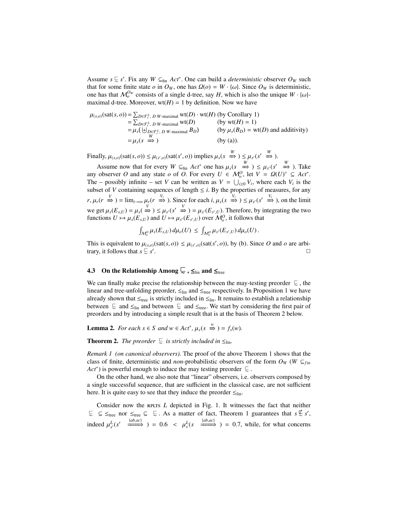Assume  $s \subseteq s'$ . Fix any  $W \subseteq_{fin} Act^*$ . One can build a *deterministic* observer  $O_W$  such that for some finite state  $o$  in  $O_W$ , one has  $\Omega(o) = W \cdot \{\omega\}$ . Since  $O_W$  is deterministic, one has that  $M_o^{O_W}$  consists of a single d-tree, say *H*, which is also the unique  $W \cdot \{\omega\}$ -<br>maximal d-tree. Moreover,  $wt(H) = 1$  by definition. Now we have maximal d-tree. Moreover,  $wt(H) = 1$  by definition. Now we have

$$
\mu_{(s,o)}(sat(s, o)) = \sum_{D \in \mathcal{F}_s^L, D \text{ W-maximal}} \text{wt}(D) \cdot \text{wt}(H) \text{ (by Corollary 1)}
$$
\n
$$
= \sum_{D \in \mathcal{F}_s^L, D \text{ W-maximal}} \text{wt}(D) \qquad \text{(by wt}(H) = 1)
$$
\n
$$
= \mu_s(\biguplus_{D \in \mathcal{F}_s^L, D \text{ W-maximal}} B_D) \qquad \text{(by } \mu_s(B_D) = \text{wt}(D) \text{ and additivity})
$$
\n
$$
= \mu_s(s \xrightarrow{W} ) \qquad \text{(by (a))}.
$$

Finally,  $\mu_{(s,o)}(\text{sat}(s, o)) \leq \mu_{(s',o)}(\text{sat}(s', o))$  implies  $\mu_s(s \xrightarrow{W} ) \leq \mu_{s'}(s' \xrightarrow{W} )$ .

Assume now that for every  $W \subseteq_{fin} \text{Act}^*$  one has  $\mu_s(s \stackrel{W}{\implies}) \leq \mu_{s'}(s' \stackrel{W}{\implies})$ . Take Assume now that for every  $W \subseteq_{fin} Act^*$  one has  $\mu_s(s \stackrel{\sim}{\Rightarrow}) \leq \mu_{s'}(s' \stackrel{\sim}{\Rightarrow})$ . Take<br>any observer *O* and any state *o* of *O*. For every  $U \in M_o^O$ , let  $V = \Omega(U)^\circ \subseteq Act^*$ .<br>The – possibly infinite – set *V* can be written The – possibly infinite – set *V* can be written as  $V = \bigcup_{i \geq 0} V_i$ , where each  $V_i$  is the subset of *V* containing sequences of length  $\leq i$ . By the properties of measures, for any  $r, \mu_r(r \xrightarrow{V} ) = \lim_{i \to \infty} \mu_r(r \xrightarrow{V_i} ).$  Since for each  $i, \mu_s(s \xrightarrow{V_i} ) \leq \mu_{s'}(s' \xrightarrow{V_i} ).$  on the limit we get  $\mu_s(E_{s,U}) = \mu_s(\stackrel{V}{\Rightarrow}) \leq \mu_{s'}(s' \stackrel{V}{\Rightarrow}) = \mu_{s'}(E_{s',U})$ . Therefore, by integrating the two functions  $U \mapsto \mu_s(E_{s,U})$  and  $U \mapsto \mu_{s'}(E_{s',U})$  over  $\mathcal{M}_o^O$ , it follows that

$$
\int_{\mathcal{M}_o^O} \mu_s(E_{s,U}) d\mu_o(U) \leq \int_{\mathcal{M}_o^O} \mu_{s'}(E_{s',U}) d\mu_o(U).
$$

This is equivalent to  $\mu_{(s,o)}(\text{sat}(s, o)) \leq \mu_{(s',o)}(\text{sat}(s', o))$ , by (b). Since *O* and *o* are arbitrary it follows that  $s \subseteq s'$ trary, it follows that  $s \subseteq s'$ .  $\Box$ 

## 4.3 On the Relationship Among  $\subsetneq$ ,  $\leq$ <sub>lin</sub> and  $\leq$ <sub>tree</sub>

We can finally make precise the relationship between the may-testing preorder  $\subseteq$ , the linear and tree-unfolding preorder,  $\leq$ <sub>lin</sub> and  $\leq$ <sub>tree</sub> respectively. In Proposition 1 we have already shown that  $\leq_{\text{tree}}$  is strictly included in  $\leq_{\text{lin}}$ . It remains to establish a relationship between  $\subseteq$  and  $\leq$ <sub>lin</sub> and between  $\subseteq$  and  $\leq$ <sub>tree</sub>. We start by considering the first pair of preorders and by introducing a simple result that is at the basis of Theorem 2 below.

**Lemma 2.** *For each*  $s \in S$  *and*  $w \in Act^*, \mu_s(s \stackrel{w}{\Rightarrow}) = f_s(w)$ *.* 

**Theorem 2.** *The preorder*  $\subseteq$  *is strictly included in*  $\leq$ <sub>lin</sub>.

*Remark 1 (on canonical observers).* The proof of the above Theorem 1 shows that the class of finite, deterministic and *non*-probabilistic observers of the form  $O_W$  ( $W \subseteq f_{in}$  $Act^*$ ) is powerful enough to induce the may testing preorder  $\subseteq$ .

On the other hand, we also note that "linear" observers, i.e. observers composed by a single successful sequence, that are sufficient in the classical case, are not sufficient here. It is quite easy to see that they induce the preorder  $\leq_{lin}$ .

Consider now the RPLTS *L* depicted in Fig. 1. It witnesses the fact that neither  $\frac{1}{x}$  ⊆ ≤<sub>tree</sub> nor ≤<sub>tree</sub> ⊆ ∴ As a matter of fact, Theorem 1 guarantees that  $s \frac{1}{x} s'$ , indeed  $\mu_{s'}^L(s' \xrightarrow{\text{[ab,ac]}}) = 0.6 < \mu_s^L(s \xrightarrow{\text{[ab,ac]}}) = 0.7$ , while, for what concerns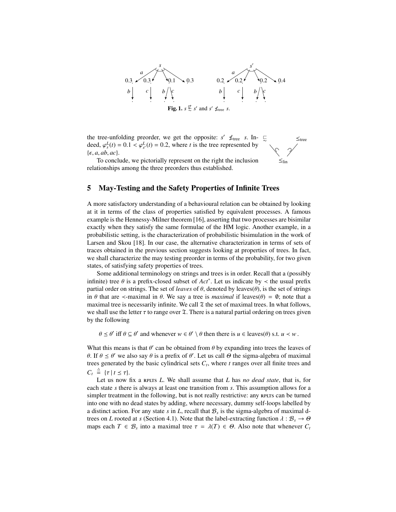

≤lin ⊂

⊂

the tree-unfolding preorder, we get the opposite:  $s' \nleq_{\text{tree}} s$ . In- $\subset$   $\leq$ <sub>tree</sub> deed,  $\varphi_s^L(t) = 0.1 < \varphi_{s'}^L(t) = 0.2$ , where *t* is the tree represented by  $\{\epsilon, a, ab, ac\}.$ 

To conclude, we pictorially represent on the right the inclusion relationships among the three preorders thus established.

## 5 May-Testing and the Safety Properties of Infinite Trees

A more satisfactory understanding of a behavioural relation can be obtained by looking at it in terms of the class of properties satisfied by equivalent processes. A famous example is the Hennessy-Milner theorem [16], asserting that two processes are bisimilar exactly when they satisfy the same formulae of the HM logic. Another example, in a probabilistic setting, is the characterization of probabilistic bisimulation in the work of Larsen and Skou [18]. In our case, the alternative characterization in terms of sets of traces obtained in the previous section suggests looking at properties of trees. In fact, we shall characterize the may testing preorder in terms of the probability, for two given states, of satisfying safety properties of trees.

Some additional terminology on strings and trees is in order. Recall that a (possibly infinite) tree  $\theta$  is a prefix-closed subset of *Act*<sup>∗</sup>. Let us indicate by  $\lt$  the usual prefix partial order on strings. The set of *leaves* of  $\theta$  denoted by leaves( $\theta$ ) is the set of strings partial order on strings. The set of *leaves* of  $\theta$ , denoted by leaves( $\theta$ ), is the set of strings in  $\theta$  that are  $\le$ -maximal in  $\theta$ . We say a tree is *maximal* if leaves( $\theta$ ) =  $\theta$ ; note that a maximal tree is necessarily infinite. We call  $\mathfrak X$  the set of maximal trees. In what follows, we shall use the letter  $\tau$  to range over  $\mathfrak{T}$ . There is a natural partial ordering on trees given by the following

 $\theta \le \theta'$  iff  $\theta \subseteq \theta'$  and whenever  $w \in \theta' \setminus \theta$  then there is  $u \in \text{leaves}(\theta)$  s.t.  $u \lt w$ .

What this means is that  $\theta'$  can be obtained from  $\theta$  by expanding into trees the leaves of  $\theta$  If  $\theta \le \theta'$  we also say  $\theta$  is a prefix of  $\theta'$ . Let us call  $\theta$  the sigma-algebra of maximal θ. If  $θ \le θ'$  we also say  $θ$  is a prefix of  $θ'$ . Let us call  $Θ$  the sigma-algebra of maximal trees apperated by the basic cylindrical sets  $C$ , where t ranges over all finite trees and trees generated by the basic cylindrical sets *C<sup>t</sup>* , where *t* ranges over all finite trees and  $C_t \stackrel{\triangle}{=} {\tau | t \leq \tau}.$ <br>
Let us now t

Let us now fix a RPLTS *L*. We shall assume that *L* has *no dead state*, that is, for each state *s* there is always at least one transition from *s*. This assumption allows for a simpler treatment in the following, but is not really restrictive: any net can be turned into one with no dead states by adding, where necessary, dummy self-loops labelled by a distinct action. For any state  $s$  in  $L$ , recall that  $\mathcal{B}_s$  is the sigma-algebra of maximal dtrees on *L* rooted at *s* (Section 4.1). Note that the label-extracting function  $\lambda : \mathcal{B}_s \to \Theta$ maps each  $T \in \mathcal{B}_s$  into a maximal tree  $\tau = \lambda(T) \in \Theta$ . Also note that whenever  $C_t$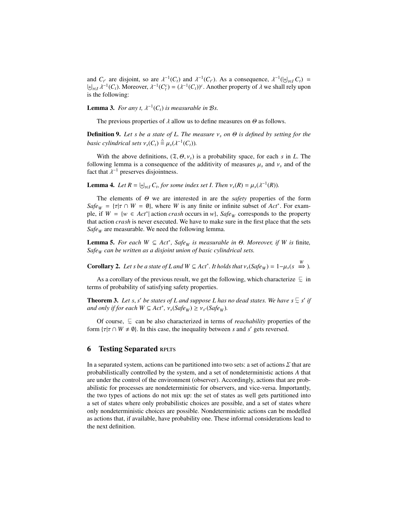and  $C_t$  are disjoint, so are  $\lambda^{-1}(C_t)$  and  $\lambda^{-1}(C_{t'})$ . As a consequence,  $\lambda^{-1}(\bigcup_{t \in I} C_t) =$ <br> $\mu$ ,  $\lambda^{-1}(C)$ . Moreover,  $\lambda^{-1}(C^c) = (\lambda^{-1}(C_t))^c$ . Another property of  $\lambda$  we shall rely upon  $\biguplus_{t \in I} \lambda^{-1}(C_t)$ . Moreover,  $\lambda^{-1}(C_t^c) = (\lambda^{-1}(C_t))^c$ . Another property of  $\lambda$  we shall rely upon is the following:  $\biguplus_{t \in I} \Lambda^{-1}(C_t)$ . MG<br>is the following:

**Lemma 3.** For any t,  $\lambda^{-1}(C_t)$  is measurable in Bs.

The previous properties of  $\lambda$  allow us to define measures on  $\Theta$  as follows.

Definition 9. *Let s be a state of L. The measure* <sup>ν</sup>*<sup>s</sup> on* <sup>Θ</sup> *is defined by setting for the basic cylindrical sets*  $v_s(C_t) \stackrel{\Delta}{=} \mu_s(\lambda^{-1}(C_t)).$ 

With the above definitions,  $(\mathfrak{T}, \Theta, \nu_s)$  is a probability space, for each *s* in *L*. The following lemma is a consequence of the additivity of measures  $\mu_s$  and  $\nu_s$  and of the fact that  $\lambda^{-1}$  preserves disjointness.

**Lemma 4.** Let  $R = \bigcup_{i \in I} C_i$ , for some index set I. Then  $v_s(R) = \mu_s(\lambda^{-1}(R))$ .

The elements of Θ we are interested in are the *safety* properties of the form *Safe*<sub>*W*</sub> = { $\tau$ | $\tau$  ∩ *W* =  $\theta$ }, where *W* is any finite or infinite subset of *Act*<sup>\*</sup>. For example, if  $W = \{w \in Act^* | \text{ action } crash \text{ occurs in } w\}$ ,  $Safe_W$  corresponds to the property that action *crash* is never executed. We have to make sure in the first place that the sets  $Safe_{W}$  are measurable. We need the following lemma.

**Lemma 5.** For each  $W \subseteq Act^*$ , Safe<sub>W</sub> is measurable in  $\Theta$ . Moreover, if W is finite, Safe<sub>ry</sub> can be written as a disjoint union of basic cylindrical sets *Safe<sup>W</sup> can be written as a disjoint union of basic cylindrical sets.*

**Corollary 2.** Let *s* be a state of L and  $W \subseteq Act^*$ . It holds that  $v_s(Safe_W) = 1 - \mu_s(s \stackrel{W}{\implies})$ .

As a corollary of the previous result, we get the following, which characterize  $\varsubsetneq$  in terms of probability of satisfying safety properties.

**Theorem 3.** *Let s*, *s' be states of L and suppose L has no dead states. We have*  $s \subseteq s'$  *if* and only if for each  $W \subseteq Act^*$ ,  $v(Sate) \geq v(Sate)$ *and only if for each*  $W \subseteq Act^*$ ,  $v_s(Safe_W) \ge v_s(Safe_W)$ *.* 

Of course, ❁ ∼ can be also characterized in terms of *reachability* properties of the form  $\{\tau | \tau \cap W \neq \emptyset\}$ . In this case, the inequality between *s* and *s'* gets reversed.

## **6 Testing Separated RPLTS**

In a separated system, actions can be partitioned into two sets: a set of actions  $\Sigma$  that are probabilistically controlled by the system, and a set of nondeterministic actions *A* that are under the control of the environment (observer). Accordingly, actions that are probabilistic for processes are nondeterministic for observers, and vice-versa. Importantly, the two types of actions do not mix up: the set of states as well gets partitioned into a set of states where only probabilistic choices are possible, and a set of states where only nondeterministic choices are possible. Nondeterministic actions can be modelled as actions that, if available, have probability one. These informal considerations lead to the next definition.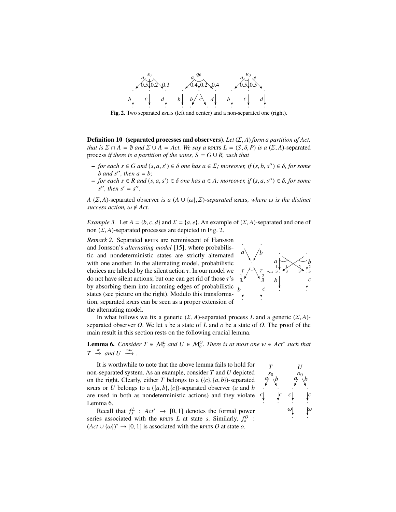

Fig. 2. Two separated RPLTS (left and center) and a non-separated one (right).

Definition 10 (separated processes and observers). *Let* (Σ, *<sup>A</sup>*) *form a partition of Act, that is*  $\Sigma \cap A = \emptyset$  *and*  $\Sigma \cup A = Act$ *. We say a RPLTS*  $L = (S, \delta, P)$  *is a*  $(\Sigma, A)$ -separated process *if there is a partition of the sates,*  $S = G \cup R$ *, such that* 

- $\vdash$  *for each s* ∈ *G and* (*s*, *a*, *s*<sup> $′$ </sup>) ∈ δ *one has a* ∈  $Σ$ *; moreover, if* (*s*, *b*, *s*<sup> $′$ </sup>) ∈ δ, *for some*<br>b *and* s<sup> $′′</sup> then$ *a* $−$ **b** $:$ *b* and  $s''$ , then  $a = b$ ;
- $-$  *for each s* ∈ *R and* (*s*, *a*, *s'*) ∈ *δ one has a* ∈ *A*; moreover, if (*s*, *a*, *s''*) ∈ *δ*, *for some*  $s'$  *n n'* −  $s''$  $s''$ *, then*  $s' = s''$ *.*

*A* ( $\Sigma$ , *A*)-separated observer *is a* ( $A \cup \{\omega\}$ ,  $\Sigma$ )-separated refluxionally *n k is the distinct success action,*  $\omega \notin Act$ .

*Example 3.* Let  $A = \{b, c, d\}$  and  $\Sigma = \{a, e\}$ . An example of  $(\Sigma, A)$ -separated and one of non  $(\Sigma, A)$ -separated processes are depicted in Fig. 2.

*Remark 2.* Separated RPLTS are reminiscent of Hansson and Jonsson's *alternating model* [15], where probabilistic and nondeterministic states are strictly alternated with one another. In the alternating model, probabilistic choices are labeled by the silent action  $\tau$ . In our model we do not have silent actions; but one can get rid of those  $\tau$ 's by absorbing them into incoming edges of probabilistic states (see picture on the right). Modulo this transformation, separated RPLTS can be seen as a proper extension of the alternating model.



In what follows we fix a generic  $(\Sigma, A)$ -separated process L and a generic  $(\Sigma, A)$ separated observer *O*. We let *s* be a state of *L* and *o* be a state of *O*. The proof of the main result in this section rests on the following crucial lemma.

**Lemma 6.** *Consider*  $T \in M_s^L$  *and*  $U \in M_o^O$ . *There is at most one*  $w \in Act^*$  *such that*  $T \stackrel{w}{\rightarrow}$  *and*  $U \stackrel{w\omega}{\longrightarrow}$ .

It is worthwhile to note that the above lemma fails to hold for non-separated system. As an example, consider *T* and *U* depicted on the right. Clearly, either *T* belongs to a  $({c}, {a}, {b})$ -separated RPLTS or *U* belongs to a  $({a,b},{c})$ -separated observer (*a* and *b* are used in both as nondeterministic actions) and they violate Lemma 6.

Recall that  $f_s^L$ :  $Act^* \rightarrow [0, 1]$  denotes the formal power series associated with the RPLTS *L* at state *s*. Similarly,  $f_o^O$  :  $(Act \cup \{\omega\})^* \rightarrow [0, 1]$  is associated with the RPLTS O at state o.

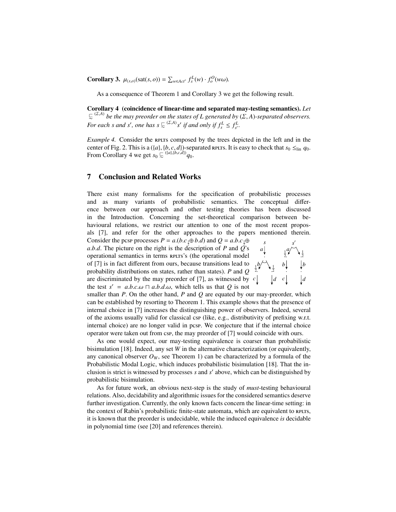**Corollary 3.**  $\mu_{(s,o)}(\text{sat}(s, o)) = \sum_{w \in Act^*} f_s^L(w) \cdot f_o^O(w\omega)$ .

As a consequence of Theorem 1 and Corollary 3 we get the following result.

Corollary 4 (coincidence of linear-time and separated may-testing semantics). *Let*  $\subseteq^{(\Sigma,A)}$  be the may preorder on the states of L generated by  $(\Sigma, A)$ -separated observers.<br>For each s and s', one has  $s \subseteq^{(\Sigma,A)} s'$  if and only if  $f_s^L \leq f_{s'}^L$ .

*Example 4.* Consider the RPLTS composed by the trees depicted in the left and in the center of Fig. 2. This is a ({*a*}, {*b*, *c*, *d*})-separated references. It is easy to check that  $s_0 \leq_{\text{lin}} q_0$ . From Corollary 4 we get  $s_0 \in (\{a\}, \{b,c,d\})$   $q_0$ .

#### 7 Conclusion and Related Works

There exist many formalisms for the specification of probabilistic processes and as many variants of probabilistic semantics. The conceptual difference between our approach and other testing theories has been discussed in the Introduction. Concerning the set-theoretical comparison between behavioural relations, we restrict our attention to one of the most recent proposals [7], and refer for the other approaches to the papers mentioned therein.

Consider the pcsp processes  $P = a(b, c_1 \oplus b, d)$  and  $Q = a, b, c_1 \oplus a, b, d$ . The picture on the right is the description of  $P$  and  $\hat{Q}$ 's a.b.d. The picture on the right is the description of *P* and  $\vec{Q}$ 's operational semantics in terms purs's (the operational model operational semantics in terms RPLTS's (the operational model of [7] is in fact different from ours, because transitions lead to probability distributions on states, rather than states). *P* and *Q* are discriminated by the may preorder of [7], as witnessed by  $c$ the test  $s' = a.b.c.\omega \sqcap a.b.d.\omega$ , which tells us that *Q* is not<br>smaller than *P*. On the other hand, *P* and *Q* are equated by  $\Omega$ 



smaller than *P*. On the other hand, *P* and *Q* are equated by our may-preorder, which can be established by resorting to Theorem 1. This example shows that the presence of internal choice in [7] increases the distinguishing power of observers. Indeed, several of the axioms usually valid for classical csp (like, e.g., distributivity of prefixing w.r.t. internal choice) are no longer valid in pcsp. We conjecture that if the internal choice operator were taken out from csp, the may preorder of [7] would coincide with ours.

As one would expect, our may-testing equivalence is coarser than probabilistic bisimulation [18]. Indeed, any set *W* in the alternative characterization (or equivalently, any canonical observer  $O_W$ , see Theorem 1) can be characterized by a formula of the Probabilistic Modal Logic, which induces probabilistic bisimulation [18]. That the inclusion is strict is witnessed by processes *s* and *s'* above, which can be distinguished by probabilistic bisimulation.

As for future work, an obvious next-step is the study of *must*-testing behavioural relations. Also, decidability and algorithmic issues for the considered semantics deserve further investigation. Currently, the only known facts concern the linear-time setting: in the context of Rabin's probabilistic finite-state automata, which are equivalent to RPLTS, it is known that the preorder is undecidable, while the induced equivalence *is* decidable in polynomial time (see [20] and references therein).